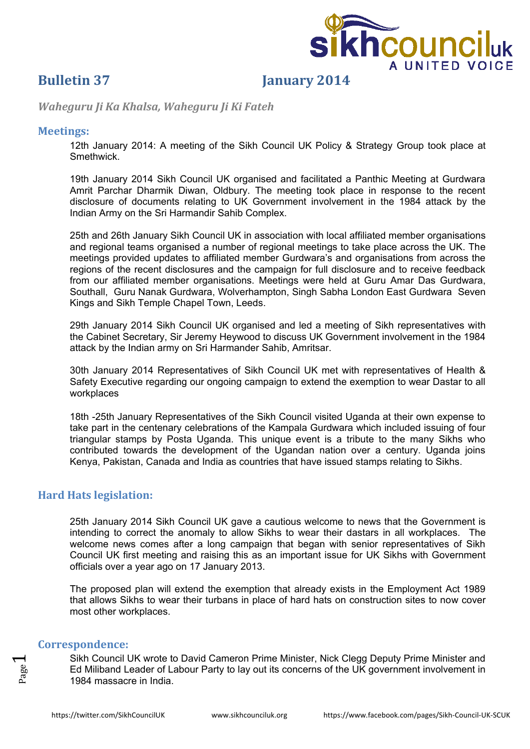

# **Bulletin 37 January 2014**

*Waheguru Ji Ka Khalsa, Waheguru Ji Ki Fateh*

### **Meetings:**

12th January 2014: A meeting of the Sikh Council UK Policy & Strategy Group took place at Smethwick.

19th January 2014 Sikh Council UK organised and facilitated a Panthic Meeting at Gurdwara Amrit Parchar Dharmik Diwan, Oldbury. The meeting took place in response to the recent disclosure of documents relating to UK Government involvement in the 1984 attack by the Indian Army on the Sri Harmandir Sahib Complex.

25th and 26th January Sikh Council UK in association with local affiliated member organisations and regional teams organised a number of regional meetings to take place across the UK. The meetings provided updates to affiliated member Gurdwara's and organisations from across the regions of the recent disclosures and the campaign for full disclosure and to receive feedback from our affiliated member organisations. Meetings were held at Guru Amar Das Gurdwara, Southall, Guru Nanak Gurdwara, Wolverhampton, Singh Sabha London East Gurdwara Seven Kings and Sikh Temple Chapel Town, Leeds.

29th January 2014 Sikh Council UK organised and led a meeting of Sikh representatives with the Cabinet Secretary, Sir Jeremy Heywood to discuss UK Government involvement in the 1984 attack by the Indian army on Sri Harmander Sahib, Amritsar.

30th January 2014 Representatives of Sikh Council UK met with representatives of Health & Safety Executive regarding our ongoing campaign to extend the exemption to wear Dastar to all workplaces

18th -25th January Representatives of the Sikh Council visited Uganda at their own expense to take part in the centenary celebrations of the Kampala Gurdwara which included issuing of four triangular stamps by Posta Uganda. This unique event is a tribute to the many Sikhs who contributed towards the development of the Ugandan nation over a century. Uganda joins Kenya, Pakistan, Canada and India as countries that have issued stamps relating to Sikhs.

## **Hard Hats legislation:**

25th January 2014 Sikh Council UK gave a cautious welcome to news that the Government is intending to correct the anomaly to allow Sikhs to wear their dastars in all workplaces. The welcome news comes after a long campaign that began with senior representatives of Sikh Council UK first meeting and raising this as an important issue for UK Sikhs with Government officials over a year ago on 17 January 2013.

The proposed plan will extend the exemption that already exists in the Employment Act 1989 that allows Sikhs to wear their turbans in place of hard hats on construction sites to now cover most other workplaces.

### **Correspondence:**

Sikh Council UK wrote to David Cameron Prime Minister, Nick Clegg Deputy Prime Minister and Ed Miliband Leader of Labour Party to lay out its concerns of the UK government involvement in 1984 massacre in India.

 $\overline{\phantom{0}}$